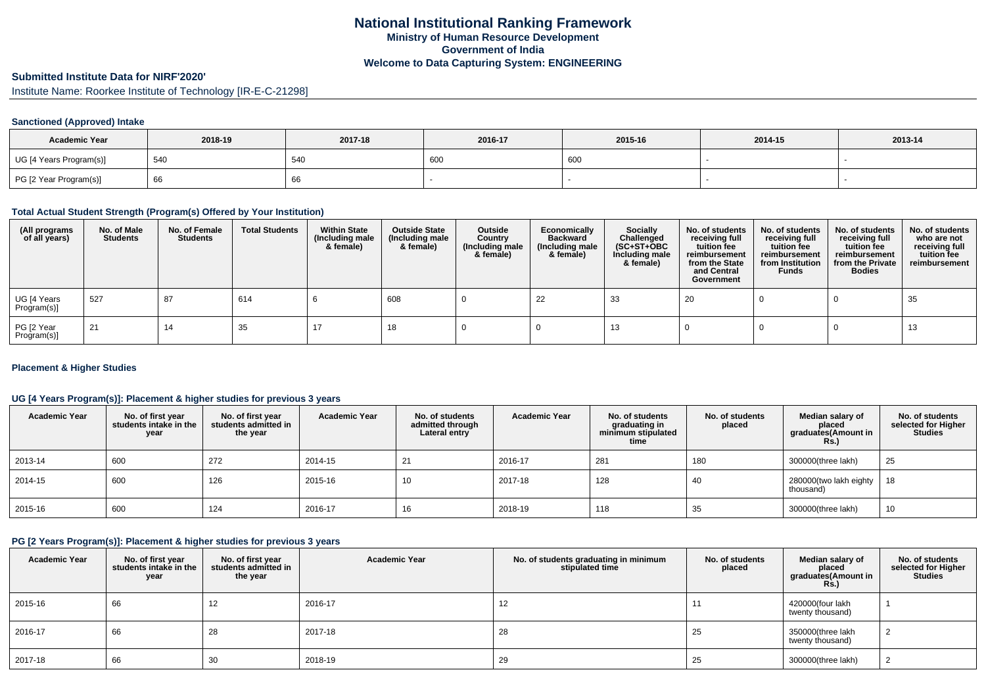### **Submitted Institute Data for NIRF'2020'**

Institute Name: Roorkee Institute of Technology [IR-E-C-21298]

## **Sanctioned (Approved) Intake**

| <b>Academic Year</b>    | 2018-19 | 2017-18 | 2016-17 | 2015-16 | 2014-15 | 2013-14 |
|-------------------------|---------|---------|---------|---------|---------|---------|
| UG [4 Years Program(s)] | 540     | 540     | 600     | 600     |         |         |
| PG [2 Year Program(s)]  | 66 '    | υo      |         |         |         |         |

### **Total Actual Student Strength (Program(s) Offered by Your Institution)**

| (All programs<br>of all years) | No. of Male<br><b>Students</b> | No. of Female<br><b>Students</b> | <b>Total Students</b> | <b>Within State</b><br>(Including male<br>& female) | <b>Outside State</b><br>(Including male<br>& female) | Outside<br>Country<br>(Including male<br>& female) | Economically<br><b>Backward</b><br>(Including male<br>& female) | <b>Socially</b><br>Challenged<br>$(SC+ST+OBC)$<br>Including male<br>& female) | No. of students<br>receiving full<br>tuition fee<br>reimbursement<br>from the State<br>and Central<br>Government | No. of students<br>receiving full<br>tuition fee<br>reimbursement<br>from Institution<br><b>Funds</b> | No. of students<br>receiving full<br>tuition fee<br>reimbursement<br>from the Private<br><b>Bodies</b> | No. of students<br>who are not<br>receiving full<br>tuition fee<br>reimbursement |
|--------------------------------|--------------------------------|----------------------------------|-----------------------|-----------------------------------------------------|------------------------------------------------------|----------------------------------------------------|-----------------------------------------------------------------|-------------------------------------------------------------------------------|------------------------------------------------------------------------------------------------------------------|-------------------------------------------------------------------------------------------------------|--------------------------------------------------------------------------------------------------------|----------------------------------------------------------------------------------|
| UG [4 Years<br>Program(s)]     | 527                            | 87                               | 614                   |                                                     | 608                                                  |                                                    | 22                                                              | 33                                                                            | 20                                                                                                               |                                                                                                       |                                                                                                        | 35                                                                               |
| PG [2 Year<br>Program(s)]      | 21                             | 14                               | 35                    | 17                                                  | 18                                                   |                                                    |                                                                 | 13                                                                            |                                                                                                                  |                                                                                                       |                                                                                                        | 13                                                                               |

### **Placement & Higher Studies**

## **UG [4 Years Program(s)]: Placement & higher studies for previous 3 years**

| <b>Academic Year</b> | No. of first year<br>students intake in the<br>year | No. of first vear<br>students admitted in<br>the year | <b>Academic Year</b> | No. of students<br>admitted through<br>Lateral entry | <b>Academic Year</b> | No. of students<br>graduating in<br>minimum stipulated<br>time | No. of students<br>placed | Median salary of<br>placed<br>graduates(Amount in<br><b>Rs.)</b> | No. of students<br>selected for Higher<br>Studies |
|----------------------|-----------------------------------------------------|-------------------------------------------------------|----------------------|------------------------------------------------------|----------------------|----------------------------------------------------------------|---------------------------|------------------------------------------------------------------|---------------------------------------------------|
| 2013-14              | 600                                                 | 272                                                   | 2014-15              | 21                                                   | 2016-17              | 281                                                            | 180                       | 300000(three lakh)                                               | 25                                                |
| 2014-15              | 600                                                 | 126                                                   | 2015-16              | 10                                                   | 2017-18              | 128                                                            | 40                        | 280000(two lakh eighty<br>thousand)                              | 18                                                |
| 2015-16              | 600                                                 | 124                                                   | 2016-17              | 16                                                   | 2018-19              | 118                                                            | 35                        | 300000(three lakh)                                               | 10                                                |

#### **PG [2 Years Program(s)]: Placement & higher studies for previous 3 years**

| <b>Academic Year</b> | No. of first year<br>students intake in the<br>year | No. of first year<br>students admitted in<br>the year | <b>Academic Year</b> | No. of students graduating in minimum<br>stipulated time | No. of students<br>placed | Median salary of<br>placed<br>graduates(Amount in<br>Rs.) | No. of students<br>selected for Higher<br><b>Studies</b> |
|----------------------|-----------------------------------------------------|-------------------------------------------------------|----------------------|----------------------------------------------------------|---------------------------|-----------------------------------------------------------|----------------------------------------------------------|
| 2015-16              | 66                                                  | 12                                                    | 2016-17              | 12                                                       | 11                        | 420000(four lakh<br>twenty thousand)                      |                                                          |
| 2016-17              | 66                                                  | 28                                                    | 2017-18              | 28                                                       | 25                        | 350000(three lakh<br>twenty thousand)                     | ∼                                                        |
| 2017-18              | 66                                                  | 30                                                    | 2018-19              | 29                                                       | 25                        | 300000(three lakh)                                        | ∼                                                        |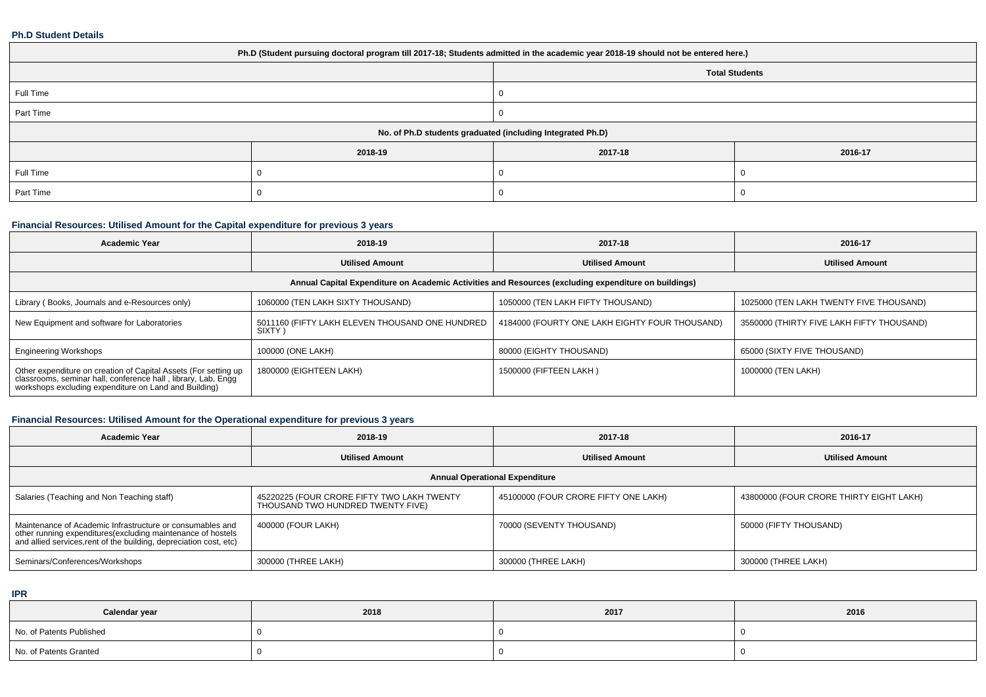#### **Ph.D Student Details**

| Ph.D (Student pursuing doctoral program till 2017-18; Students admitted in the academic year 2018-19 should not be entered here.) |         |                       |         |  |
|-----------------------------------------------------------------------------------------------------------------------------------|---------|-----------------------|---------|--|
|                                                                                                                                   |         | <b>Total Students</b> |         |  |
| Full Time                                                                                                                         |         |                       |         |  |
| Part Time                                                                                                                         |         |                       |         |  |
| No. of Ph.D students graduated (including Integrated Ph.D)                                                                        |         |                       |         |  |
|                                                                                                                                   | 2018-19 | 2017-18               | 2016-17 |  |
| Full Time                                                                                                                         |         |                       |         |  |
| Part Time                                                                                                                         |         |                       |         |  |

## **Financial Resources: Utilised Amount for the Capital expenditure for previous 3 years**

| <b>Academic Year</b>                                                                                                                                                                      | 2018-19                                                   | 2017-18                                        | 2016-17                                   |  |  |  |
|-------------------------------------------------------------------------------------------------------------------------------------------------------------------------------------------|-----------------------------------------------------------|------------------------------------------------|-------------------------------------------|--|--|--|
|                                                                                                                                                                                           | <b>Utilised Amount</b>                                    | <b>Utilised Amount</b>                         | <b>Utilised Amount</b>                    |  |  |  |
| Annual Capital Expenditure on Academic Activities and Resources (excluding expenditure on buildings)                                                                                      |                                                           |                                                |                                           |  |  |  |
| Library (Books, Journals and e-Resources only)                                                                                                                                            | 1060000 (TEN LAKH SIXTY THOUSAND)                         | 1050000 (TEN LAKH FIFTY THOUSAND)              | 1025000 (TEN LAKH TWENTY FIVE THOUSAND)   |  |  |  |
| New Equipment and software for Laboratories                                                                                                                                               | 5011160 (FIFTY LAKH ELEVEN THOUSAND ONE HUNDRED<br>SIXTY) | 4184000 (FOURTY ONE LAKH EIGHTY FOUR THOUSAND) | 3550000 (THIRTY FIVE LAKH FIFTY THOUSAND) |  |  |  |
| <b>Engineering Workshops</b>                                                                                                                                                              | 100000 (ONE LAKH)                                         | 80000 (EIGHTY THOUSAND)                        | 65000 (SIXTY FIVE THOUSAND)               |  |  |  |
| Other expenditure on creation of Capital Assets (For setting up<br>classrooms, seminar hall, conference hall, library, Lab, Engg<br>workshops excluding expenditure on Land and Building) | 1800000 (EIGHTEEN LAKH)                                   | 1500000 (FIFTEEN LAKH)                         | 1000000 (TEN LAKH)                        |  |  |  |

## **Financial Resources: Utilised Amount for the Operational expenditure for previous 3 years**

| <b>Academic Year</b>                                                                                                                                                                          | 2018-19                                                                         | 2017-18                              | 2016-17                                 |  |  |
|-----------------------------------------------------------------------------------------------------------------------------------------------------------------------------------------------|---------------------------------------------------------------------------------|--------------------------------------|-----------------------------------------|--|--|
|                                                                                                                                                                                               | <b>Utilised Amount</b>                                                          | <b>Utilised Amount</b>               | <b>Utilised Amount</b>                  |  |  |
| <b>Annual Operational Expenditure</b>                                                                                                                                                         |                                                                                 |                                      |                                         |  |  |
| Salaries (Teaching and Non Teaching staff)                                                                                                                                                    | 45220225 (FOUR CRORE FIFTY TWO LAKH TWENTY<br>THOUSAND TWO HUNDRED TWENTY FIVE) | 45100000 (FOUR CRORE FIFTY ONE LAKH) | 43800000 (FOUR CRORE THIRTY EIGHT LAKH) |  |  |
| Maintenance of Academic Infrastructure or consumables and<br>other running expenditures(excluding maintenance of hostels<br>and allied services,rent of the building, depreciation cost, etc) | 400000 (FOUR LAKH)                                                              | 70000 (SEVENTY THOUSAND)             | 50000 (FIFTY THOUSAND)                  |  |  |
| Seminars/Conferences/Workshops                                                                                                                                                                | 300000 (THREE LAKH)                                                             | 300000 (THREE LAKH)                  | 300000 (THREE LAKH)                     |  |  |

**IPR**

| Calendar year            | 2018 | 2017 | 2016 |
|--------------------------|------|------|------|
| No. of Patents Published |      |      |      |
| No. of Patents Granted   |      |      |      |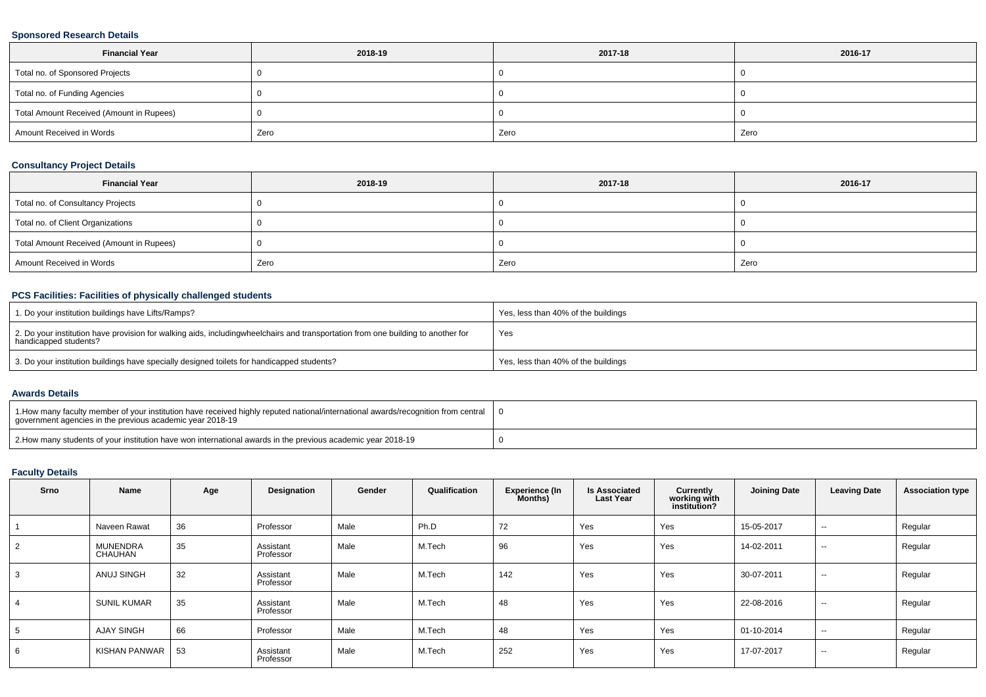## **Sponsored Research Details**

| <b>Financial Year</b>                    | 2018-19 | 2017-18 | 2016-17 |
|------------------------------------------|---------|---------|---------|
| Total no. of Sponsored Projects          |         |         |         |
| Total no. of Funding Agencies            |         |         |         |
| Total Amount Received (Amount in Rupees) |         |         |         |
| Amount Received in Words                 | Zero    | Zero    | Zero    |

## **Consultancy Project Details**

| <b>Financial Year</b>                    | 2018-19 | 2017-18 | 2016-17 |
|------------------------------------------|---------|---------|---------|
| Total no. of Consultancy Projects        |         |         |         |
| Total no. of Client Organizations        |         |         |         |
| Total Amount Received (Amount in Rupees) |         |         |         |
| Amount Received in Words                 | Zero    | Zero    | Zero    |

## **PCS Facilities: Facilities of physically challenged students**

| 1. Do your institution buildings have Lifts/Ramps?                                                                                                        | Yes, less than 40% of the buildings |
|-----------------------------------------------------------------------------------------------------------------------------------------------------------|-------------------------------------|
| 2. Do your institution have provision for walking aids, includingwheelchairs and transportation from one building to another for<br>handicapped students? | Yes                                 |
| 3. Do your institution buildings have specially designed toilets for handicapped students?                                                                | Yes, less than 40% of the buildings |

#### **Awards Details**

| 1. All 1. How many faculty member of your institution have received highly reputed national/international awards/recognition from central<br>government agencies in the previous academic year 2018-19 |  |
|--------------------------------------------------------------------------------------------------------------------------------------------------------------------------------------------------------|--|
| 2. Bow many students of your institution have won international awards in the previous academic year 2018-19                                                                                           |  |

# **Faculty Details**

| Srno | Name                       | Age | Designation            | Gender | Qualification | <b>Experience (In</b><br>Months) | <b>Is Associated</b><br><b>Last Year</b> | Currently<br>working with<br>institution? | <b>Joining Date</b> | <b>Leaving Date</b> | <b>Association type</b> |
|------|----------------------------|-----|------------------------|--------|---------------|----------------------------------|------------------------------------------|-------------------------------------------|---------------------|---------------------|-------------------------|
|      | Naveen Rawat               | 36  | Professor              | Male   | Ph.D          | 72                               | Yes                                      | Yes                                       | 15-05-2017          | $\sim$              | Regular                 |
|      | <b>MUNENDRA</b><br>CHAUHAN | 35  | Assistant<br>Professor | Male   | M.Tech        | 96                               | Yes                                      | Yes                                       | 14-02-2011          | $\sim$              | Regular                 |
|      | ANUJ SINGH                 | 32  | Assistant<br>Professor | Male   | M.Tech        | 142                              | Yes                                      | Yes                                       | 30-07-2011          | $\sim$              | Regular                 |
|      | <b>SUNIL KUMAR</b>         | 35  | Assistant<br>Professor | Male   | M.Tech        | 48                               | Yes                                      | Yes                                       | 22-08-2016          | $\sim$              | Regular                 |
|      | <b>AJAY SINGH</b>          | 66  | Professor              | Male   | M.Tech        | 48                               | Yes                                      | Yes                                       | 01-10-2014          | $\sim$              | Regular                 |
|      | KISHAN PANWAR              | 53  | Assistant<br>Professor | Male   | M.Tech        | 252                              | Yes                                      | Yes                                       | 17-07-2017          | $\sim$              | Regular                 |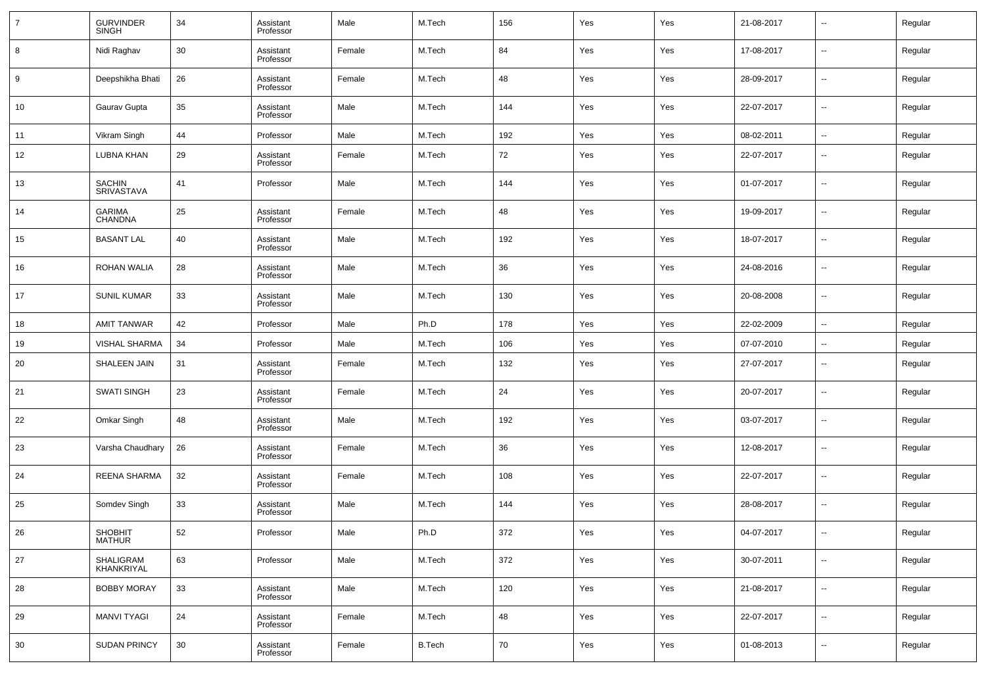| $\overline{7}$ | <b>GURVINDER</b><br><b>SINGH</b> | 34 | Assistant<br>Professor | Male   | M.Tech        | 156 | Yes | Yes | 21-08-2017 | $\overline{\phantom{a}}$ | Regular |
|----------------|----------------------------------|----|------------------------|--------|---------------|-----|-----|-----|------------|--------------------------|---------|
| 8              | Nidi Raghav                      | 30 | Assistant<br>Professor | Female | M.Tech        | 84  | Yes | Yes | 17-08-2017 | $\overline{\phantom{a}}$ | Regular |
| 9              | Deepshikha Bhati                 | 26 | Assistant<br>Professor | Female | M.Tech        | 48  | Yes | Yes | 28-09-2017 | $\overline{\phantom{a}}$ | Regular |
| 10             | Gaurav Gupta                     | 35 | Assistant<br>Professor | Male   | M.Tech        | 144 | Yes | Yes | 22-07-2017 | $\overline{\phantom{a}}$ | Regular |
| 11             | Vikram Singh                     | 44 | Professor              | Male   | M.Tech        | 192 | Yes | Yes | 08-02-2011 | $\sim$                   | Regular |
| 12             | <b>LUBNA KHAN</b>                | 29 | Assistant<br>Professor | Female | M.Tech        | 72  | Yes | Yes | 22-07-2017 | $\overline{\phantom{a}}$ | Regular |
| 13             | <b>SACHIN</b><br>SRIVASTAVA      | 41 | Professor              | Male   | M.Tech        | 144 | Yes | Yes | 01-07-2017 | $\overline{\phantom{a}}$ | Regular |
| 14             | <b>GARIMA</b><br>CHANDNA         | 25 | Assistant<br>Professor | Female | M.Tech        | 48  | Yes | Yes | 19-09-2017 | $\overline{\phantom{a}}$ | Regular |
| 15             | <b>BASANT LAL</b>                | 40 | Assistant<br>Professor | Male   | M.Tech        | 192 | Yes | Yes | 18-07-2017 | $\overline{\phantom{a}}$ | Regular |
| 16             | <b>ROHAN WALIA</b>               | 28 | Assistant<br>Professor | Male   | M.Tech        | 36  | Yes | Yes | 24-08-2016 | $\overline{\phantom{a}}$ | Regular |
| 17             | <b>SUNIL KUMAR</b>               | 33 | Assistant<br>Professor | Male   | M.Tech        | 130 | Yes | Yes | 20-08-2008 | $\overline{\phantom{a}}$ | Regular |
| 18             | <b>AMIT TANWAR</b>               | 42 | Professor              | Male   | Ph.D          | 178 | Yes | Yes | 22-02-2009 | $\overline{\phantom{a}}$ | Regular |
| 19             | VISHAL SHARMA                    | 34 | Professor              | Male   | M.Tech        | 106 | Yes | Yes | 07-07-2010 | $\sim$                   | Regular |
| 20             | SHALEEN JAIN                     | 31 | Assistant<br>Professor | Female | M.Tech        | 132 | Yes | Yes | 27-07-2017 | $\overline{\phantom{a}}$ | Regular |
| 21             | <b>SWATI SINGH</b>               | 23 | Assistant<br>Professor | Female | M.Tech        | 24  | Yes | Yes | 20-07-2017 | $\overline{\phantom{a}}$ | Regular |
| 22             | Omkar Singh                      | 48 | Assistant<br>Professor | Male   | M.Tech        | 192 | Yes | Yes | 03-07-2017 | $\overline{\phantom{a}}$ | Regular |
| 23             | Varsha Chaudhary                 | 26 | Assistant<br>Professor | Female | M.Tech        | 36  | Yes | Yes | 12-08-2017 | $\overline{\phantom{a}}$ | Regular |
| 24             | <b>REENA SHARMA</b>              | 32 | Assistant<br>Professor | Female | M.Tech        | 108 | Yes | Yes | 22-07-2017 | $\overline{\phantom{a}}$ | Regular |
| 25             | Somdev Singh                     | 33 | Assistant<br>Professor | Male   | M.Tech        | 144 | Yes | Yes | 28-08-2017 | $\overline{\phantom{a}}$ | Regular |
| 26             | <b>SHOBHIT</b><br>MATHUR         | 52 | Professor              | Male   | Ph.D          | 372 | Yes | Yes | 04-07-2017 | $\overline{\phantom{a}}$ | Regular |
| 27             | SHALIGRAM<br>KHANKRIYAL          | 63 | Professor              | Male   | M.Tech        | 372 | Yes | Yes | 30-07-2011 | $\overline{\phantom{a}}$ | Regular |
| 28             | <b>BOBBY MORAY</b>               | 33 | Assistant<br>Professor | Male   | M.Tech        | 120 | Yes | Yes | 21-08-2017 | $\sim$                   | Regular |
| 29             | <b>MANVI TYAGI</b>               | 24 | Assistant<br>Professor | Female | M.Tech        | 48  | Yes | Yes | 22-07-2017 | $\overline{\phantom{a}}$ | Regular |
| 30             | <b>SUDAN PRINCY</b>              | 30 | Assistant<br>Professor | Female | <b>B.Tech</b> | 70  | Yes | Yes | 01-08-2013 | $\overline{\phantom{a}}$ | Regular |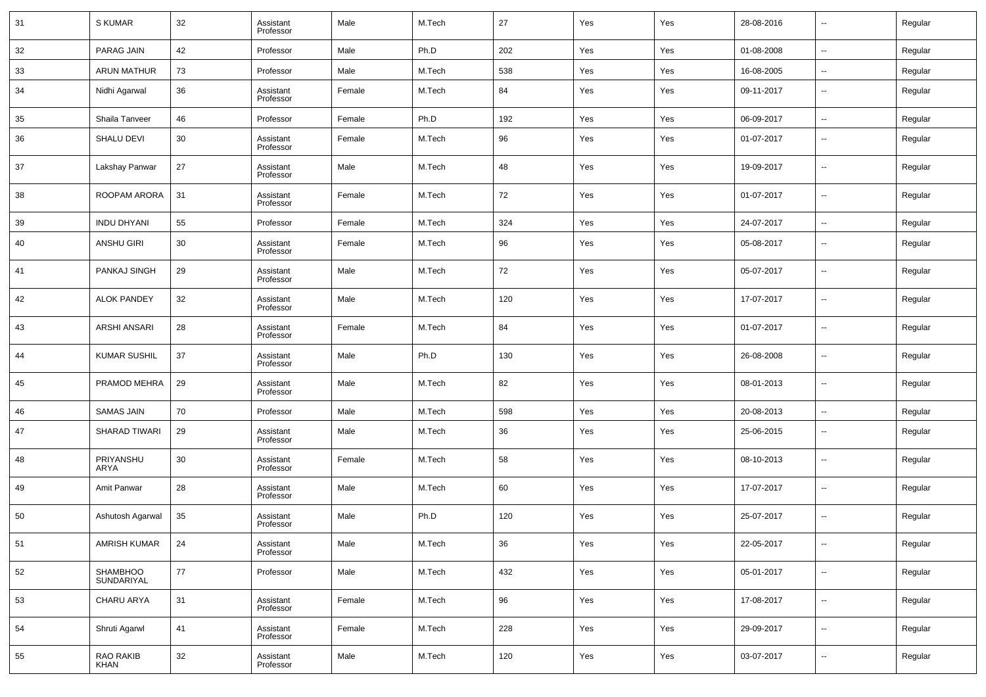| 31 | S KUMAR                | 32 | Assistant<br>Professor | Male   | M.Tech | 27  | Yes | Yes | 28-08-2016 | $\overline{\phantom{a}}$ | Regular |
|----|------------------------|----|------------------------|--------|--------|-----|-----|-----|------------|--------------------------|---------|
| 32 | PARAG JAIN             | 42 | Professor              | Male   | Ph.D   | 202 | Yes | Yes | 01-08-2008 | $\sim$                   | Regular |
| 33 | <b>ARUN MATHUR</b>     | 73 | Professor              | Male   | M.Tech | 538 | Yes | Yes | 16-08-2005 | $\overline{\phantom{a}}$ | Regular |
| 34 | Nidhi Agarwal          | 36 | Assistant<br>Professor | Female | M.Tech | 84  | Yes | Yes | 09-11-2017 | --                       | Regular |
| 35 | Shaila Tanveer         | 46 | Professor              | Female | Ph.D   | 192 | Yes | Yes | 06-09-2017 | $\overline{\phantom{a}}$ | Regular |
| 36 | <b>SHALU DEVI</b>      | 30 | Assistant<br>Professor | Female | M.Tech | 96  | Yes | Yes | 01-07-2017 | $\overline{\phantom{a}}$ | Regular |
| 37 | Lakshay Panwar         | 27 | Assistant<br>Professor | Male   | M.Tech | 48  | Yes | Yes | 19-09-2017 | $\overline{\phantom{a}}$ | Regular |
| 38 | ROOPAM ARORA           | 31 | Assistant<br>Professor | Female | M.Tech | 72  | Yes | Yes | 01-07-2017 | $\overline{\phantom{a}}$ | Regular |
| 39 | <b>INDU DHYANI</b>     | 55 | Professor              | Female | M.Tech | 324 | Yes | Yes | 24-07-2017 | $\overline{\phantom{a}}$ | Regular |
| 40 | ANSHU GIRI             | 30 | Assistant<br>Professor | Female | M.Tech | 96  | Yes | Yes | 05-08-2017 | $\overline{\phantom{a}}$ | Regular |
| 41 | PANKAJ SINGH           | 29 | Assistant<br>Professor | Male   | M.Tech | 72  | Yes | Yes | 05-07-2017 | $\sim$                   | Regular |
| 42 | <b>ALOK PANDEY</b>     | 32 | Assistant<br>Professor | Male   | M.Tech | 120 | Yes | Yes | 17-07-2017 | $\overline{\phantom{a}}$ | Regular |
| 43 | ARSHI ANSARI           | 28 | Assistant<br>Professor | Female | M.Tech | 84  | Yes | Yes | 01-07-2017 | $\overline{\phantom{a}}$ | Regular |
| 44 | <b>KUMAR SUSHIL</b>    | 37 | Assistant<br>Professor | Male   | Ph.D   | 130 | Yes | Yes | 26-08-2008 | $\sim$                   | Regular |
| 45 | PRAMOD MEHRA           | 29 | Assistant<br>Professor | Male   | M.Tech | 82  | Yes | Yes | 08-01-2013 | $\overline{\phantom{a}}$ | Regular |
| 46 | <b>SAMAS JAIN</b>      | 70 | Professor              | Male   | M.Tech | 598 | Yes | Yes | 20-08-2013 | $\sim$                   | Regular |
| 47 | <b>SHARAD TIWARI</b>   | 29 | Assistant<br>Professor | Male   | M.Tech | 36  | Yes | Yes | 25-06-2015 | $\overline{\phantom{a}}$ | Regular |
| 48 | PRIYANSHU<br>ARYA      | 30 | Assistant<br>Professor | Female | M.Tech | 58  | Yes | Yes | 08-10-2013 | $\overline{\phantom{a}}$ | Regular |
| 49 | Amit Panwar            | 28 | Assistant<br>Professor | Male   | M.Tech | 60  | Yes | Yes | 17-07-2017 | $\overline{\phantom{a}}$ | Regular |
| 50 | Ashutosh Agarwal       | 35 | Assistant<br>Professor | Male   | Ph.D   | 120 | Yes | Yes | 25-07-2017 | $\overline{\phantom{a}}$ | Regular |
| 51 | AMRISH KUMAR           | 24 | Assistant<br>Professor | Male   | M.Tech | 36  | Yes | Yes | 22-05-2017 | $\sim$                   | Regular |
| 52 | SHAMBHOO<br>SUNDARIYAL | 77 | Professor              | Male   | M.Tech | 432 | Yes | Yes | 05-01-2017 | $\overline{\phantom{a}}$ | Regular |
| 53 | CHARU ARYA             | 31 | Assistant<br>Professor | Female | M.Tech | 96  | Yes | Yes | 17-08-2017 | $\overline{\phantom{a}}$ | Regular |
| 54 | Shruti Agarwl          | 41 | Assistant<br>Professor | Female | M.Tech | 228 | Yes | Yes | 29-09-2017 | $\overline{\phantom{a}}$ | Regular |
| 55 | RAO RAKIB<br>KHAN      | 32 | Assistant<br>Professor | Male   | M.Tech | 120 | Yes | Yes | 03-07-2017 | ۰.                       | Regular |